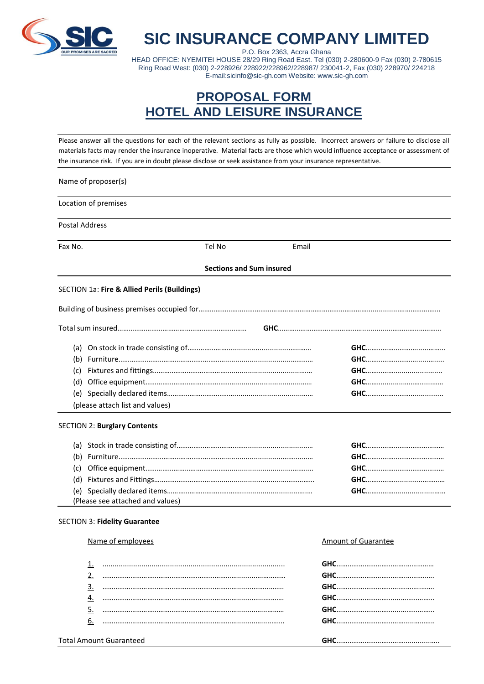

## **SIC INSURANCE COMPANY LIMITED**

P.O. Box 2363, Accra Ghana HEAD OFFICE: NYEMITEI HOUSE 28/29 Ring Road East. Tel (030) 2-280600-9 Fax (030) 2-780615 Ring Road West: (030) 2-228926/ 228922/228962/228987/ 230041-2, Fax (030) 228970/ 224218 E-mail:sicinfo@sic-gh.com Website: www.sic-gh.com

## **PROPOSAL FORM HOTEL AND LEISURE INSURANCE**

Please answer all the questions for each of the relevant sections as fully as possible. Incorrect answers or failure to disclose all materials facts may render the insurance inoperative. Material facts are those which would influence acceptance or assessment of the insurance risk. If you are in doubt please disclose or seek assistance from your insurance representative.

|                       | Name of proposer(s)                          |                                 |                            |
|-----------------------|----------------------------------------------|---------------------------------|----------------------------|
|                       | Location of premises                         |                                 |                            |
| <b>Postal Address</b> |                                              |                                 |                            |
| Fax No.               | Tel No                                       | Email                           |                            |
|                       |                                              | <b>Sections and Sum insured</b> |                            |
|                       | SECTION 1a: Fire & Allied Perils (Buildings) |                                 |                            |
|                       |                                              |                                 |                            |
|                       |                                              |                                 |                            |
| (C)                   | (please attach list and values)              |                                 |                            |
|                       | <b>SECTION 2: Burglary Contents</b>          |                                 |                            |
| (C).                  | (Please see attached and values)             |                                 |                            |
|                       | <b>SECTION 3: Fidelity Guarantee</b>         |                                 |                            |
|                       | Name of employees                            |                                 | <b>Amount of Guarantee</b> |
|                       | 1.                                           |                                 |                            |

**Total Amount Guaranteed** 

2. ……………………………………………………………….........….………… **GHC**……………………………….……….….. 3. ………………………………………………………………........……..…….. **GHC**…………………………….………..……. 4. ………………………………………………………………........…...………. **GHC**…………………………....……………… 5. ……………………………………………………………….........…...……… **GHC**…………………………....……………… 6. ……………………………………………………………….........….....……. **GHC**……………………………….....………..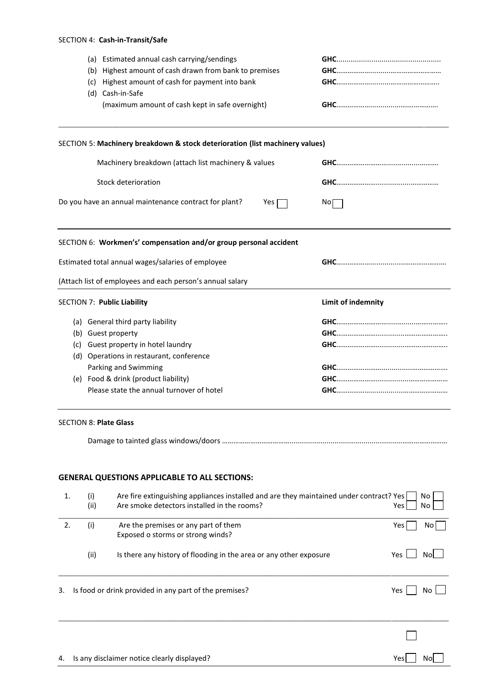## SECTION 4: **Cash-in-Transit/Safe**

|                                                   | (b)         | (a) Estimated annual cash carrying/sendings<br>Highest amount of cash drawn from bank to premises                                      |                    |  |
|---------------------------------------------------|-------------|----------------------------------------------------------------------------------------------------------------------------------------|--------------------|--|
|                                                   | (c)         | Highest amount of cash for payment into bank                                                                                           |                    |  |
|                                                   |             | (d) Cash-in-Safe                                                                                                                       |                    |  |
|                                                   |             | (maximum amount of cash kept in safe overnight)                                                                                        |                    |  |
|                                                   |             | SECTION 5: Machinery breakdown & stock deterioration (list machinery values)                                                           |                    |  |
|                                                   |             | Machinery breakdown (attach list machinery & values                                                                                    |                    |  |
|                                                   |             | Stock deterioration                                                                                                                    |                    |  |
|                                                   |             | Do you have an annual maintenance contract for plant?<br>Yes                                                                           | No                 |  |
|                                                   |             | SECTION 6: Workmen's' compensation and/or group personal accident                                                                      |                    |  |
| Estimated total annual wages/salaries of employee |             |                                                                                                                                        |                    |  |
|                                                   |             | (Attach list of employees and each person's annual salary                                                                              |                    |  |
|                                                   |             | SECTION 7: Public Liability                                                                                                            | Limit of indemnity |  |
|                                                   |             | (a) General third party liability                                                                                                      |                    |  |
|                                                   |             | (b) Guest property                                                                                                                     |                    |  |
| (c)                                               |             | Guest property in hotel laundry                                                                                                        |                    |  |
|                                                   |             | (d) Operations in restaurant, conference                                                                                               |                    |  |
|                                                   |             | Parking and Swimming                                                                                                                   |                    |  |
|                                                   |             | (e) Food & drink (product liability)                                                                                                   |                    |  |
|                                                   |             | Please state the annual turnover of hotel                                                                                              |                    |  |
|                                                   |             | <b>SECTION 8: Plate Glass</b>                                                                                                          |                    |  |
|                                                   |             |                                                                                                                                        |                    |  |
|                                                   |             |                                                                                                                                        |                    |  |
|                                                   |             | <b>GENERAL QUESTIONS APPLICABLE TO ALL SECTIONS:</b>                                                                                   |                    |  |
| 1.                                                | (i)<br>(ii) | Are fire extinguishing appliances installed and are they maintained under contract? Yes<br>Are smoke detectors installed in the rooms? | No<br>No<br>Yes    |  |
| 2.                                                | (i)         | Are the premises or any part of them                                                                                                   | Yes<br>No          |  |
|                                                   |             | Exposed o storms or strong winds?                                                                                                      |                    |  |
|                                                   | (ii)        | Is there any history of flooding in the area or any other exposure                                                                     | Nol<br>Yes         |  |
| 3.                                                |             | Is food or drink provided in any part of the premises?                                                                                 | Yes<br>No          |  |
|                                                   |             |                                                                                                                                        |                    |  |
|                                                   |             |                                                                                                                                        |                    |  |
| 4.                                                |             | Is any disclaimer notice clearly displayed?                                                                                            | Yes<br>No          |  |